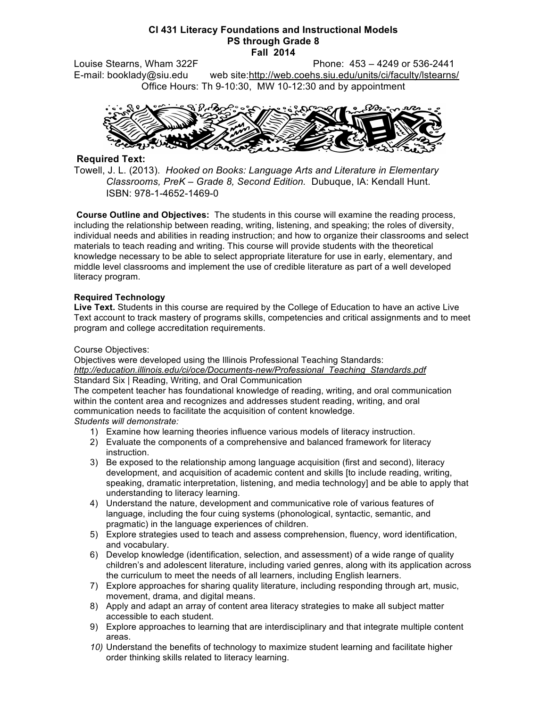#### **CI 431 Literacy Foundations and Instructional Models PS through Grade 8 Fall 2014**

Louise Stearns, Wham 322F Phone: 453 – 4249 or 536-2441 E-mail: booklady@siu.edu web site:http://web.coehs.siu.edu/units/ci/faculty/lstearns/ Office Hours: Th 9-10:30, MW 10-12:30 and by appointment



## **Required Text:**

Towell, J. L. (2013). *Hooked on Books: Language Arts and Literature in Elementary Classrooms, PreK – Grade 8, Second Edition.* Dubuque, IA: Kendall Hunt. ISBN: 978-1-4652-1469-0

**Course Outline and Objectives:** The students in this course will examine the reading process, including the relationship between reading, writing, listening, and speaking; the roles of diversity, individual needs and abilities in reading instruction; and how to organize their classrooms and select materials to teach reading and writing. This course will provide students with the theoretical knowledge necessary to be able to select appropriate literature for use in early, elementary, and middle level classrooms and implement the use of credible literature as part of a well developed literacy program.

## **Required Technology**

**Live Text.** Students in this course are required by the College of Education to have an active Live Text account to track mastery of programs skills, competencies and critical assignments and to meet program and college accreditation requirements.

### Course Objectives:

Objectives were developed using the Illinois Professional Teaching Standards: *http://education.illinois.edu/ci/oce/Documents-new/Professional\_Teaching\_Standards.pdf* Standard Six | Reading, Writing, and Oral Communication

The competent teacher has foundational knowledge of reading, writing, and oral communication within the content area and recognizes and addresses student reading, writing, and oral communication needs to facilitate the acquisition of content knowledge.

### *Students will demonstrate:*

- 1) Examine how learning theories influence various models of literacy instruction.
- 2) Evaluate the components of a comprehensive and balanced framework for literacy instruction.
- 3) Be exposed to the relationship among language acquisition (first and second), literacy development, and acquisition of academic content and skills [to include reading, writing, speaking, dramatic interpretation, listening, and media technology] and be able to apply that understanding to literacy learning.
- 4) Understand the nature, development and communicative role of various features of language, including the four cuing systems (phonological, syntactic, semantic, and pragmatic) in the language experiences of children.
- 5) Explore strategies used to teach and assess comprehension, fluency, word identification, and vocabulary.
- 6) Develop knowledge (identification, selection, and assessment) of a wide range of quality children's and adolescent literature, including varied genres, along with its application across the curriculum to meet the needs of all learners, including English learners.
- 7) Explore approaches for sharing quality literature, including responding through art, music, movement, drama, and digital means.
- 8) Apply and adapt an array of content area literacy strategies to make all subject matter accessible to each student.
- 9) Explore approaches to learning that are interdisciplinary and that integrate multiple content areas.
- *10)* Understand the benefits of technology to maximize student learning and facilitate higher order thinking skills related to literacy learning.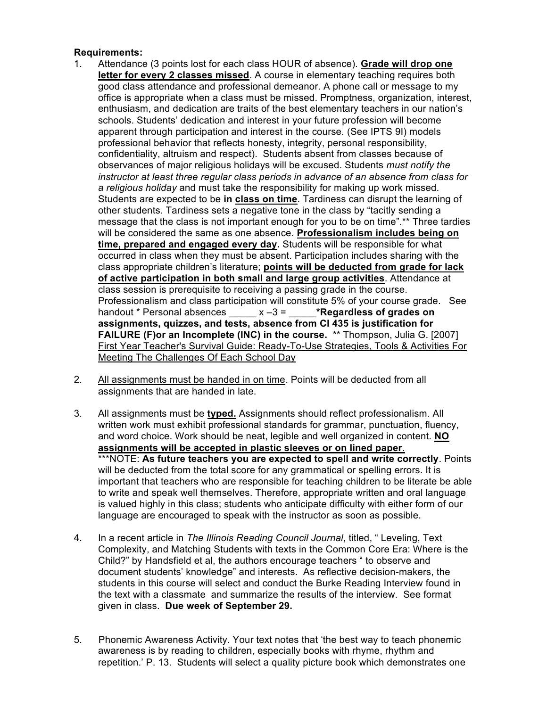## **Requirements:**

- 1. Attendance (3 points lost for each class HOUR of absence). **Grade will drop one letter for every 2 classes missed**. A course in elementary teaching requires both good class attendance and professional demeanor. A phone call or message to my office is appropriate when a class must be missed. Promptness, organization, interest, enthusiasm, and dedication are traits of the best elementary teachers in our nation's schools. Students' dedication and interest in your future profession will become apparent through participation and interest in the course. (See IPTS 9I) models professional behavior that reflects honesty, integrity, personal responsibility, confidentiality, altruism and respect). Students absent from classes because of observances of major religious holidays will be excused. Students *must notify the instructor at least three regular class periods in advance of an absence from class for a religious holiday* and must take the responsibility for making up work missed. Students are expected to be **in class on time**. Tardiness can disrupt the learning of other students. Tardiness sets a negative tone in the class by "tacitly sending a message that the class is not important enough for you to be on time".\*\* Three tardies will be considered the same as one absence. **Professionalism includes being on time, prepared and engaged every day.** Students will be responsible for what occurred in class when they must be absent. Participation includes sharing with the class appropriate children's literature; **points will be deducted from grade for lack of active participation in both small and large group activities**. Attendance at class session is prerequisite to receiving a passing grade in the course. Professionalism and class participation will constitute 5% of your course grade. See handout \* Personal absences \_\_\_\_\_ x –3 = \_\_\_\_\_**\*Regardless of grades on assignments, quizzes, and tests, absence from CI 435 is justification for FAILURE (F)or an Incomplete (INC) in the course.** \*\* Thompson, Julia G. [2007] First Year Teacher's Survival Guide: Ready-To-Use Strategies, Tools & Activities For Meeting The Challenges Of Each School Day
- 2. All assignments must be handed in on time. Points will be deducted from all assignments that are handed in late.
- 3. All assignments must be **typed.** Assignments should reflect professionalism. All written work must exhibit professional standards for grammar, punctuation, fluency, and word choice. Work should be neat, legible and well organized in content. **NO assignments will be accepted in plastic sleeves or on lined paper**. \*\*\*NOTE: **As future teachers you are expected to spell and write correctly**. Points will be deducted from the total score for any grammatical or spelling errors. It is important that teachers who are responsible for teaching children to be literate be able to write and speak well themselves. Therefore, appropriate written and oral language is valued highly in this class; students who anticipate difficulty with either form of our language are encouraged to speak with the instructor as soon as possible.
- 4. In a recent article in *The Illinois Reading Council Journal*, titled, " Leveling, Text Complexity, and Matching Students with texts in the Common Core Era: Where is the Child?" by Handsfield et al, the authors encourage teachers " to observe and document students' knowledge" and interests. As reflective decision-makers, the students in this course will select and conduct the Burke Reading Interview found in the text with a classmate and summarize the results of the interview. See format given in class. **Due week of September 29.**
- 5. Phonemic Awareness Activity. Your text notes that 'the best way to teach phonemic awareness is by reading to children, especially books with rhyme, rhythm and repetition.' P. 13. Students will select a quality picture book which demonstrates one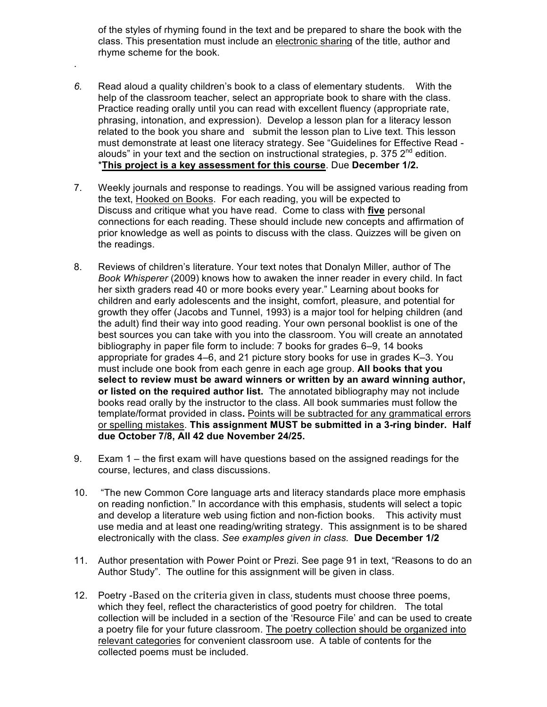of the styles of rhyming found in the text and be prepared to share the book with the class. This presentation must include an electronic sharing of the title, author and rhyme scheme for the book.

*6.* Read aloud a quality children's book to a class of elementary students. With the help of the classroom teacher, select an appropriate book to share with the class. Practice reading orally until you can read with excellent fluency (appropriate rate, phrasing, intonation, and expression). Develop a lesson plan for a literacy lesson related to the book you share and submit the lesson plan to Live text. This lesson must demonstrate at least one literacy strategy. See "Guidelines for Effective Read alouds" in your text and the section on instructional strategies, p. 375  $2^{nd}$  edition. \***This project is a key assessment for this course**. Due **December 1/2.**

.

- 7. Weekly journals and response to readings. You will be assigned various reading from the text, Hooked on Books. For each reading, you will be expected to Discuss and critique what you have read. Come to class with **five** personal connections for each reading. These should include new concepts and affirmation of prior knowledge as well as points to discuss with the class. Quizzes will be given on the readings.
- 8. Reviews of children's literature. Your text notes that Donalyn Miller, author of The *Book Whisperer* (2009) knows how to awaken the inner reader in every child. In fact her sixth graders read 40 or more books every year." Learning about books for children and early adolescents and the insight, comfort, pleasure, and potential for growth they offer (Jacobs and Tunnel, 1993) is a major tool for helping children (and the adult) find their way into good reading. Your own personal booklist is one of the best sources you can take with you into the classroom. You will create an annotated bibliography in paper file form to include: 7 books for grades 6–9, 14 books appropriate for grades 4–6, and 21 picture story books for use in grades K–3. You must include one book from each genre in each age group. **All books that you select to review must be award winners or written by an award winning author, or listed on the required author list.** The annotated bibliography may not include books read orally by the instructor to the class. All book summaries must follow the template/format provided in class**.** Points will be subtracted for any grammatical errors or spelling mistakes. **This assignment MUST be submitted in a 3-ring binder. Half due October 7/8, All 42 due November 24/25.**
- 9. Exam 1 the first exam will have questions based on the assigned readings for the course, lectures, and class discussions.
- 10. "The new Common Core language arts and literacy standards place more emphasis on reading nonfiction." In accordance with this emphasis, students will select a topic and develop a literature web using fiction and non-fiction books. This activity must use media and at least one reading/writing strategy. This assignment is to be shared electronically with the class. *See examples given in class.* **Due December 1/2**
- 11. Author presentation with Power Point or Prezi. See page 91 in text, "Reasons to do an Author Study". The outline for this assignment will be given in class.
- 12. Poetry -Based
on
the
criteria
given
in
class, students must choose three poems, which they feel, reflect the characteristics of good poetry for children. The total collection will be included in a section of the 'Resource File' and can be used to create a poetry file for your future classroom. The poetry collection should be organized into relevant categories for convenient classroom use. A table of contents for the collected poems must be included.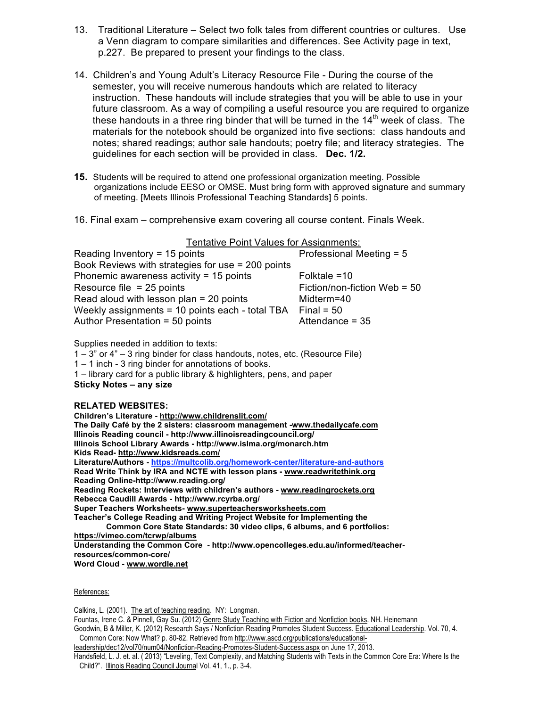- 13. Traditional Literature Select two folk tales from different countries or cultures. Use a Venn diagram to compare similarities and differences. See Activity page in text, p.227. Be prepared to present your findings to the class.
- 14. Children's and Young Adult's Literacy Resource File During the course of the semester, you will receive numerous handouts which are related to literacy instruction. These handouts will include strategies that you will be able to use in your future classroom. As a way of compiling a useful resource you are required to organize these handouts in a three ring binder that will be turned in the  $14^{\text{th}}$  week of class. The materials for the notebook should be organized into five sections: class handouts and notes; shared readings; author sale handouts; poetry file; and literacy strategies. The guidelines for each section will be provided in class. **Dec. 1/2.**
- **15.** Students will be required to attend one professional organization meeting. Possible organizations include EESO or OMSE. Must bring form with approved signature and summary of meeting. [Meets Illinois Professional Teaching Standards] 5 points.
- 16. Final exam comprehensive exam covering all course content. Finals Week.

Tentative Point Values for Assignments:

| Reading Inventory = $15$ points                   | Professional Meeting = 5     |
|---------------------------------------------------|------------------------------|
| Book Reviews with strategies for use = 200 points |                              |
| Phonemic awareness activity = $15$ points         | Folktale $=10$               |
| Resource file $= 25$ points                       | Fiction/non-fiction Web = 50 |
| Read aloud with lesson plan $= 20$ points         | Midterm=40                   |
| Weekly assignments = 10 points each - total TBA   | Final = $50$                 |
| Author Presentation = 50 points                   | Attendance = $35$            |

Supplies needed in addition to texts:

1 – 3" or 4" – 3 ring binder for class handouts, notes, etc. (Resource File)

1 – 1 inch - 3 ring binder for annotations of books.

1 – library card for a public library & highlighters, pens, and paper

**Sticky Notes – any size**

#### **RELATED WEBSITES:**

**Children's Literature - http://www.childrenslit.com/ The Daily Café by the 2 sisters: classroom management -www.thedailycafe.com Illinois Reading council - http://www.illinoisreadingcouncil.org/ Illinois School Library Awards - http://www.islma.org/monarch.htm Kids Read- http://www.kidsreads.com/ Literature/Authors - https://multcolib.org/homework-center/literature-and-authors Read Write Think by IRA and NCTE with lesson plans - www.readwritethink.org Reading Online-http://www.reading.org/ Reading Rockets: Interviews with children's authors - www.readingrockets.org Rebecca Caudill Awards - http://www.rcyrba.org/ Super Teachers Worksheets- www.superteachersworksheets.com Teacher's College Reading and Writing Project Website for Implementing the Common Core State Standards: 30 video clips, 6 albums, and 6 portfolios: https://vimeo.com/tcrwp/albums Understanding the Common Core - http://www.opencolleges.edu.au/informed/teacherresources/common-core/ Word Cloud - www.wordle.net**

References:

Calkins, L. (2001). The art of teaching reading. NY: Longman.

Fountas, Irene C. & Pinnell, Gay Su. (2012) Genre Study Teaching with Fiction and Nonfiction books. NH. Heinemann Goodwin, B & Miller, K. (2012) Research Says / Nonfiction Reading Promotes Student Success. Educational Leadership. Vol. 70, 4. Common Core: Now What? p. 80-82. Retrieved from http://www.ascd.org/publications/educational-

leadership/dec12/vol70/num04/Nonfiction-Reading-Promotes-Student-Success.aspx on June 17, 2013.

Handsfield, L. J. et. al. ( 2013) "Leveling, Text Complexity, and Matching Students with Texts in the Common Core Era: Where Is the Child?". Illinois Reading Council Journal Vol. 41, 1., p. 3-4.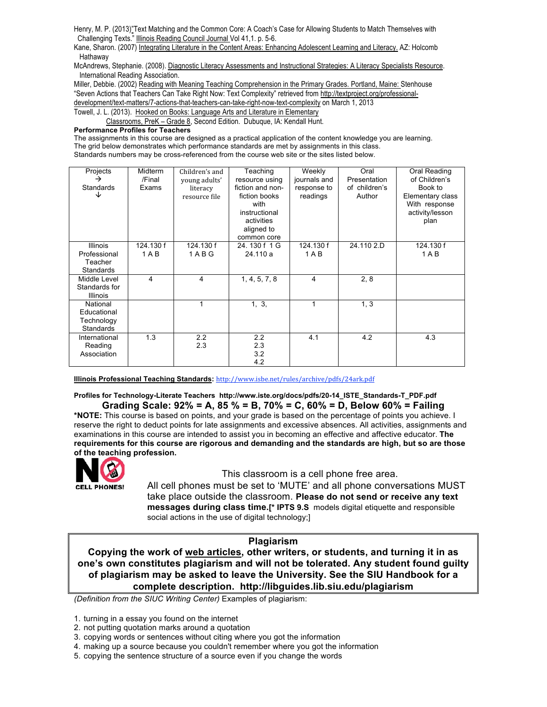Henry, M. P. (2013)"Text Matching and the Common Core: A Coach's Case for Allowing Students to Match Themselves with Challenging Texts." Illinois Reading Council Journal Vol 41,1. p. 5-6.

Kane, Sharon. (2007) Integrating Literature in the Content Areas: Enhancing Adolescent Learning and Literacy. AZ: Holcomb Hathaway

McAndrews, Stephanie. (2008). Diagnostic Literacy Assessments and Instructional Strategies: A Literacy Specialists Resource. International Reading Association.

Miller, Debbie. (2002) Reading with Meaning Teaching Comprehension in the Primary Grades. Portland, Maine: Stenhouse "Seven Actions that Teachers Can Take Right Now: Text Complexity" retrieved from http://textproject.org/professionaldevelopment/text-matters/7-actions-that-teachers-can-take-right-now-text-complexity on March 1, 2013 Towell, J. L. (2013). Hooked on Books: Language Arts and Literature in Elementary

Classrooms, PreK – Grade 8, Second Edition. Dubuque, IA: Kendall Hunt.

#### **Performance Profiles for Teachers**

The assignments in this course are designed as a practical application of the content knowledge you are learning. The grid below demonstrates which performance standards are met by assignments in this class. Standards numbers may be cross-referenced from the course web site or the sites listed below.

| Projects         | Midterm   | Children's and | Teaching         | Weekly       | Oral          | Oral Reading     |
|------------------|-----------|----------------|------------------|--------------|---------------|------------------|
| →                | /Final    | young adults'  | resource using   | journals and | Presentation  | of Children's    |
| <b>Standards</b> | Exams     | literacy       | fiction and non- | response to  | of children's | Book to          |
| ◡                |           | resource file  | fiction books    | readings     | Author        | Elementary class |
|                  |           |                | with             |              |               | With response    |
|                  |           |                | instructional    |              |               | activity/lesson  |
|                  |           |                | activities       |              |               | plan             |
|                  |           |                | aligned to       |              |               |                  |
|                  |           |                | common core      |              |               |                  |
| <b>Illinois</b>  | 124.130 f | 124.130 f      | 24.130f1G        | 124.130 f    | 24.110 2.D    | 124.130 f        |
| Professional     | $1A$ B    | 1ABG           | 24.110 a         | 1AB          |               | 1A B             |
| Teacher          |           |                |                  |              |               |                  |
| <b>Standards</b> |           |                |                  |              |               |                  |
| Middle Level     | 4         | 4              | 1, 4, 5, 7, 8    | 4            | 2, 8          |                  |
| Standards for    |           |                |                  |              |               |                  |
| <b>Illinois</b>  |           |                |                  |              |               |                  |
| National         |           | 1              | 1, 3,            | 1            | 1, 3          |                  |
| Educational      |           |                |                  |              |               |                  |
| Technology       |           |                |                  |              |               |                  |
| Standards        |           |                |                  |              |               |                  |
| International    | 1.3       | 2.2            | 2.2              | 4.1          | 4.2           | 4.3              |
| Reading          |           | 2.3            | 2.3              |              |               |                  |
| Association      |           |                | 3.2              |              |               |                  |
|                  |           |                | 4.2              |              |               |                  |

**Illinois Professional Teaching Standards:** http://www.isbe.net/rules/archive/pdfs/24ark.pdf

#### **Profiles for Technology-Literate Teachers http://www.iste.org/docs/pdfs/20-14\_ISTE\_Standards-T\_PDF.pdf Grading Scale: 92% = A, 85 % = B, 70% = C, 60% = D, Below 60% = Failing**

**\*NOTE:** This course is based on points, and your grade is based on the percentage of points you achieve. I reserve the right to deduct points for late assignments and excessive absences. All activities, assignments and examinations in this course are intended to assist you in becoming an effective and affective educator. **The requirements for this course are rigorous and demanding and the standards are high, but so are those of the teaching profession.**



This classroom is a cell phone free area.

All cell phones must be set to 'MUTE' and all phone conversations MUST take place outside the classroom. **Please do not send or receive any text messages during class time.[\* IPTS 9.S** models digital etiquette and responsible social actions in the use of digital technology;]

#### **Plagiarism**

**Copying the work of web articles, other writers, or students, and turning it in as one's own constitutes plagiarism and will not be tolerated. Any student found guilty of plagiarism may be asked to leave the University. See the SIU Handbook for a complete description. http://libguides.lib.siu.edu/plagiarism**

*(Definition from the SIUC Writing Center)* Examples of plagiarism:

- 1. turning in a essay you found on the internet
- 2. not putting quotation marks around a quotation
- 3. copying words or sentences without citing where you got the information
- 4. making up a source because you couldn't remember where you got the information
- 5. copying the sentence structure of a source even if you change the words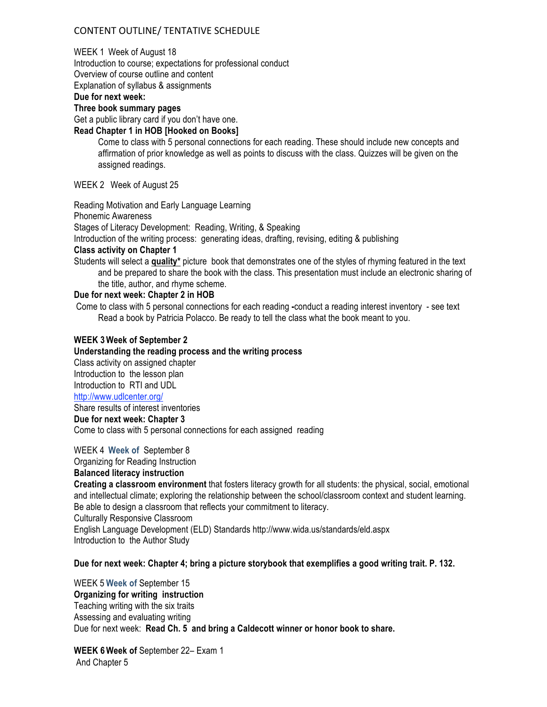## CONTENT
OUTLINE/
TENTATIVE
SCHEDULE

#### WEEK 1 Week of August 18

Introduction to course; expectations for professional conduct

Overview of course outline and content

Explanation of syllabus & assignments

### **Due for next week:**

**Three book summary pages**

Get a public library card if you don't have one.

### **Read Chapter 1 in HOB [Hooked on Books]**

Come to class with 5 personal connections for each reading. These should include new concepts and affirmation of prior knowledge as well as points to discuss with the class. Quizzes will be given on the assigned readings.

WEEK 2 Week of August 25

Reading Motivation and Early Language Learning

Phonemic Awareness

Stages of Literacy Development: Reading, Writing, & Speaking

Introduction of the writing process: generating ideas, drafting, revising, editing & publishing

### **Class activity on Chapter 1**

Students will select a **quality\*** picture book that demonstrates one of the styles of rhyming featured in the text and be prepared to share the book with the class. This presentation must include an electronic sharing of the title, author, and rhyme scheme.

### **Due for next week: Chapter 2 in HOB**

Come to class with 5 personal connections for each reading **-**conduct a reading interest inventory - see text Read a book by Patricia Polacco. Be ready to tell the class what the book meant to you.

### **WEEK 3Week of September 2**

#### **Understanding the reading process and the writing process**

Class activity on assigned chapter Introduction to the lesson plan Introduction to RTI and UDL http://www.udlcenter.org/

Share results of interest inventories

### **Due for next week: Chapter 3**

Come to class with 5 personal connections for each assigned reading

### WEEK 4 **Week of** September 8

Organizing for Reading Instruction

### **Balanced literacy instruction**

**Creating a classroom environment** that fosters literacy growth for all students: the physical, social, emotional and intellectual climate; exploring the relationship between the school/classroom context and student learning. Be able to design a classroom that reflects your commitment to literacy.

Culturally Responsive Classroom

English Language Development (ELD) Standards http://www.wida.us/standards/eld.aspx Introduction to the Author Study

### **Due for next week: Chapter 4; bring a picture storybook that exemplifies a good writing trait. P. 132.**

## WEEK 5 **Week of** September 15 **Organizing for writing instruction** Teaching writing with the six traits Assessing and evaluating writing Due for next week: **Read Ch. 5 and bring a Caldecott winner or honor book to share.**

**WEEK 6Week of** September 22– Exam 1 And Chapter 5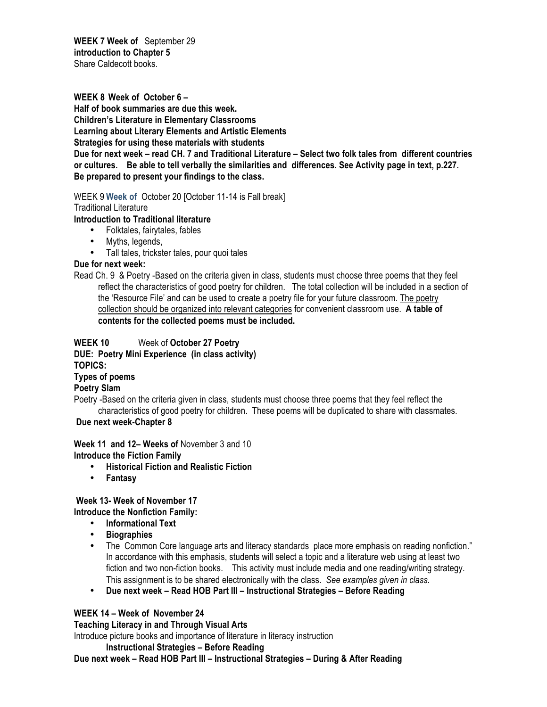**WEEK 7 Week of** September 29 **introduction to Chapter 5** Share Caldecott books.

**WEEK 8 Week of October 6 – Half of book summaries are due this week. Children's Literature in Elementary Classrooms Learning about Literary Elements and Artistic Elements Strategies for using these materials with students Due for next week – read CH. 7 and Traditional Literature – Select two folk tales from different countries or cultures. Be able to tell verbally the similarities and differences. See Activity page in text, p.227. Be prepared to present your findings to the class.**

WEEK 9 **Week of** October 20 [October 11-14 is Fall break]

Traditional Literature

**Introduction to Traditional literature**

- Folktales, fairytales, fables
- Myths, legends,
- Tall tales, trickster tales, pour quoi tales

## **Due for next week:**

Read Ch. 9 & Poetry -Based on the criteria given in class, students must choose three poems that they feel reflect the characteristics of good poetry for children. The total collection will be included in a section of the 'Resource File' and can be used to create a poetry file for your future classroom. The poetry collection should be organized into relevant categories for convenient classroom use. **A table of contents for the collected poems must be included.** 

## **WEEK 10** Week of **October 27 Poetry**

**DUE: Poetry Mini Experience (in class activity)**

**TOPICS:** 

**Types of poems**

**Poetry Slam**

Poetry -Based on the criteria given in class, students must choose three poems that they feel reflect the characteristics of good poetry for children. These poems will be duplicated to share with classmates.

### **Due next week-Chapter 8**

**Week 11 and 12– Weeks of** November 3 and 10 **Introduce the Fiction Family**

- **Historical Fiction and Realistic Fiction**
- **Fantasy**

## **Week 13- Week of November 17**

**Introduce the Nonfiction Family:**

- **Informational Text**
- **Biographies**
- The Common Core language arts and literacy standards place more emphasis on reading nonfiction." In accordance with this emphasis, students will select a topic and a literature web using at least two fiction and two non-fiction books. This activity must include media and one reading/writing strategy. This assignment is to be shared electronically with the class. *See examples given in class.*
- **Due next week Read HOB Part III Instructional Strategies Before Reading**

## **WEEK 14 – Week of November 24**

**Teaching Literacy in and Through Visual Arts**

Introduce picture books and importance of literature in literacy instruction

**Instructional Strategies – Before Reading** 

**Due next week – Read HOB Part III – Instructional Strategies – During & After Reading**